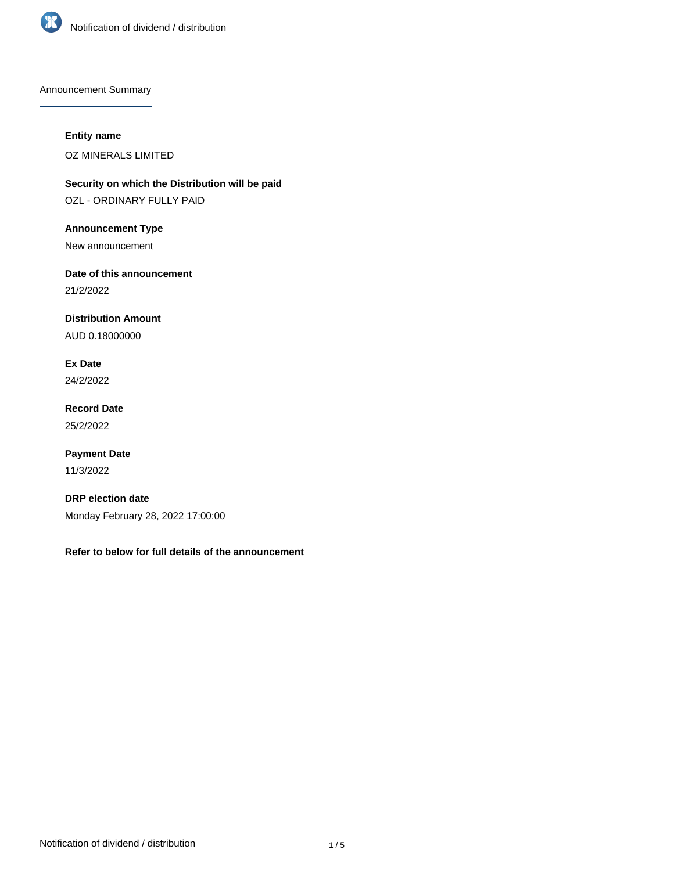

Announcement Summary

## **Entity name**

OZ MINERALS LIMITED

**Security on which the Distribution will be paid** OZL - ORDINARY FULLY PAID

**Announcement Type**

New announcement

**Date of this announcement**

21/2/2022

**Distribution Amount**

AUD 0.18000000

**Ex Date** 24/2/2022

**Record Date** 25/2/2022

**Payment Date** 11/3/2022

**DRP election date** Monday February 28, 2022 17:00:00

**Refer to below for full details of the announcement**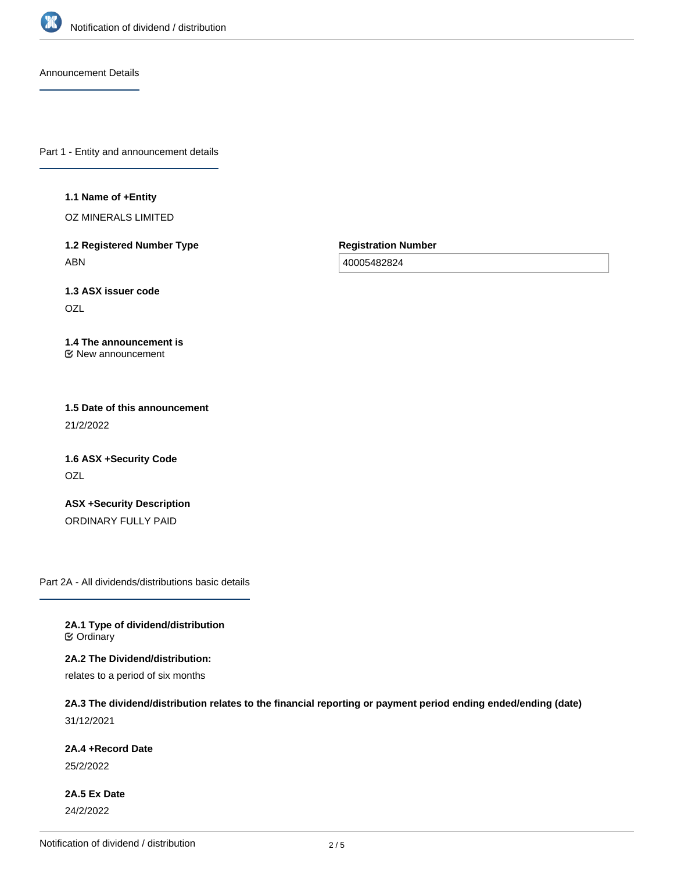

Announcement Details

Part 1 - Entity and announcement details

**1.1 Name of +Entity**

OZ MINERALS LIMITED

**1.2 Registered Number Type** ABN

**Registration Number**

40005482824

**1.3 ASX issuer code OZL** 

**1.4 The announcement is** New announcement

**1.5 Date of this announcement** 21/2/2022

**1.6 ASX +Security Code** OZL

**ASX +Security Description** ORDINARY FULLY PAID

Part 2A - All dividends/distributions basic details

**2A.1 Type of dividend/distribution C** Ordinary

**2A.2 The Dividend/distribution:**

relates to a period of six months

**2A.3 The dividend/distribution relates to the financial reporting or payment period ending ended/ending (date)** 31/12/2021

**2A.4 +Record Date**

25/2/2022

**2A.5 Ex Date** 24/2/2022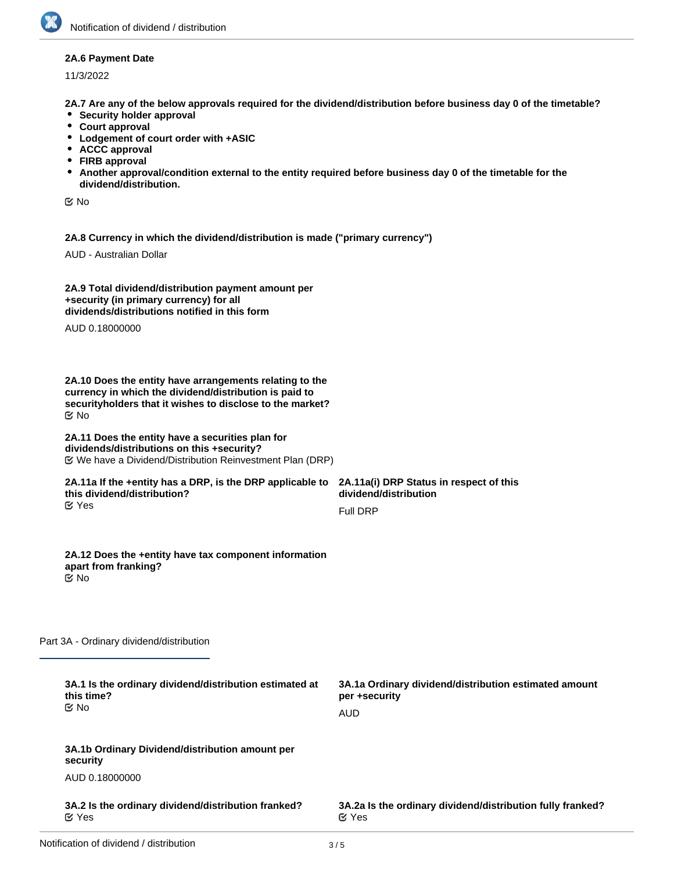### **2A.6 Payment Date**

11/3/2022

**2A.7 Are any of the below approvals required for the dividend/distribution before business day 0 of the timetable?**

- **•** Security holder approval
- **Court approval**
- **Lodgement of court order with +ASIC**
- **ACCC approval**
- **FIRB approval**
- **Another approval/condition external to the entity required before business day 0 of the timetable for the dividend/distribution.**

No

**2A.8 Currency in which the dividend/distribution is made ("primary currency")**

AUD - Australian Dollar

| 2A.9 Total dividend/distribution payment amount per |  |
|-----------------------------------------------------|--|
| +security (in primary currency) for all             |  |
| dividends/distributions notified in this form       |  |

AUD 0.18000000

**2A.10 Does the entity have arrangements relating to the currency in which the dividend/distribution is paid to securityholders that it wishes to disclose to the market?** No

#### **2A.11 Does the entity have a securities plan for dividends/distributions on this +security?** We have a Dividend/Distribution Reinvestment Plan (DRP)

#### **2A.11a If the +entity has a DRP, is the DRP applicable to this dividend/distribution?** Yes

**2A.11a(i) DRP Status in respect of this dividend/distribution** Full DRP

**2A.12 Does the +entity have tax component information apart from franking?** No

Part 3A - Ordinary dividend/distribution

| 3A.1 Is the ordinary dividend/distribution estimated at<br>this time?<br><b>≝</b> No | 3A.1a Ordinary dividend/distribution estimated amount<br>per +security<br>AUD |
|--------------------------------------------------------------------------------------|-------------------------------------------------------------------------------|
| 3A.1b Ordinary Dividend/distribution amount per<br>security                          |                                                                               |
| AUD 0.18000000                                                                       |                                                                               |
| 3A.2 Is the ordinary dividend/distribution franked?<br>ビ Yes                         | 3A.2a Is the ordinary dividend/distribution fully franked?<br>$\alpha$ Yes    |
|                                                                                      |                                                                               |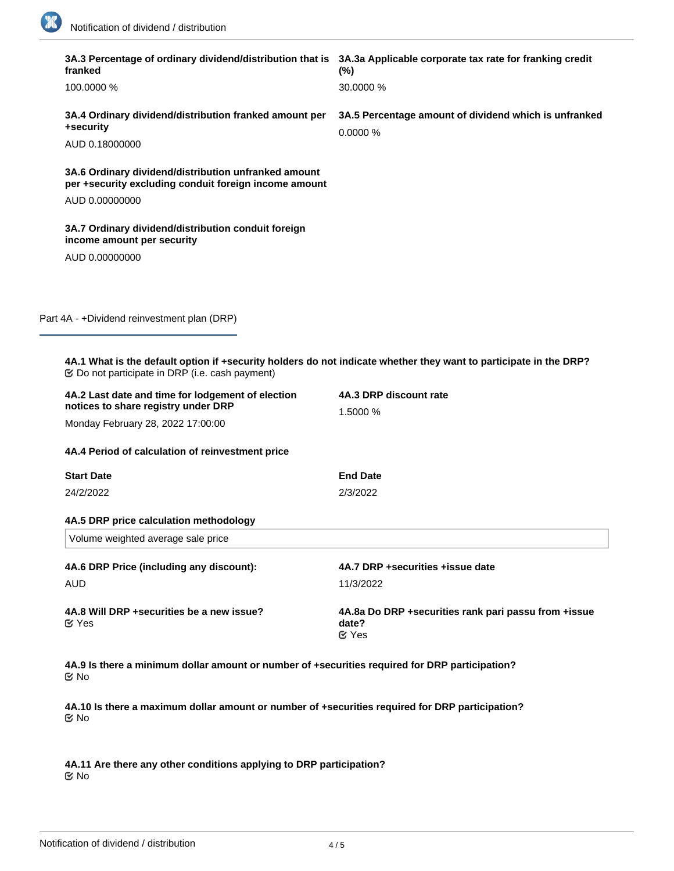R

÷

| franked                                                                                                       | 3A.3 Percentage of ordinary dividend/distribution that is 3A.3a Applicable corporate tax rate for franking credit<br>$(\%)$ |
|---------------------------------------------------------------------------------------------------------------|-----------------------------------------------------------------------------------------------------------------------------|
| 100.0000 %                                                                                                    | 30.0000 %                                                                                                                   |
| 3A.4 Ordinary dividend/distribution franked amount per<br>+security                                           | 3A.5 Percentage amount of dividend which is unfranked<br>0.0000 %                                                           |
| AUD 0.18000000                                                                                                |                                                                                                                             |
| 3A.6 Ordinary dividend/distribution unfranked amount<br>per +security excluding conduit foreign income amount |                                                                                                                             |
| AUD 0.00000000                                                                                                |                                                                                                                             |
| 3A.7 Ordinary dividend/distribution conduit foreign<br>income amount per security                             |                                                                                                                             |
| AUD 0.00000000                                                                                                |                                                                                                                             |
|                                                                                                               |                                                                                                                             |
|                                                                                                               |                                                                                                                             |
| Part 4A - +Dividend reinvestment plan (DRP)                                                                   |                                                                                                                             |
|                                                                                                               |                                                                                                                             |
|                                                                                                               | 4A.1 What is the default option if +security holders do not indicate whether they want to participate in the DRP?           |
| 4A.2 Last date and time for lodgement of election<br>notices to share registry under DRP                      | 4A.3 DRP discount rate<br>1.5000 %                                                                                          |
| Monday February 28, 2022 17:00:00                                                                             |                                                                                                                             |
| 4A.4 Period of calculation of reinvestment price                                                              |                                                                                                                             |
| <b>Start Date</b>                                                                                             | <b>End Date</b>                                                                                                             |
| 24/2/2022                                                                                                     | 2/3/2022                                                                                                                    |
| 4A.5 DRP price calculation methodology                                                                        |                                                                                                                             |
| Volume weighted average sale price                                                                            |                                                                                                                             |
| 4A.6 DRP Price (including any discount):                                                                      | 4A.7 DRP +securities +issue date                                                                                            |
| <b>AUD</b>                                                                                                    | 11/3/2022                                                                                                                   |
| 4A.8 Will DRP +securities be a new issue?<br>$\mathfrak{C}$ Yes                                               | 4A.8a Do DRP +securities rank pari passu from +issue<br>date?<br><b>M</b> Yes                                               |
| <b>Mo</b>                                                                                                     | 4A.9 Is there a minimum dollar amount or number of +securities required for DRP participation?                              |

**4A.10 Is there a maximum dollar amount or number of +securities required for DRP participation?** No

**4A.11 Are there any other conditions applying to DRP participation?** No